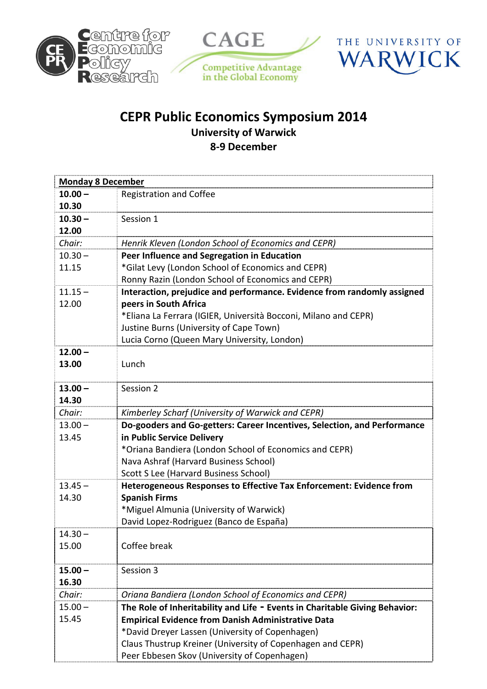





## CEPR Public Economics Symposium 2014 University of Warwick 8-9 December

| <b>Monday 8 December</b> |                                                                                |  |
|--------------------------|--------------------------------------------------------------------------------|--|
| $10.00 -$                | <b>Registration and Coffee</b>                                                 |  |
| 10.30                    |                                                                                |  |
| $10.30 -$                | Session 1                                                                      |  |
| 12.00                    |                                                                                |  |
| Chair:                   | Henrik Kleven (London School of Economics and CEPR)                            |  |
| $10.30 -$                | Peer Influence and Segregation in Education                                    |  |
| 11.15                    | *Gilat Levy (London School of Economics and CEPR)                              |  |
|                          | Ronny Razin (London School of Economics and CEPR)                              |  |
| $11.15 -$                | Interaction, prejudice and performance. Evidence from randomly assigned        |  |
| 12.00                    | peers in South Africa                                                          |  |
|                          | *Eliana La Ferrara (IGIER, Università Bocconi, Milano and CEPR)                |  |
|                          | Justine Burns (University of Cape Town)                                        |  |
|                          | Lucia Corno (Queen Mary University, London)                                    |  |
| $12.00 -$                |                                                                                |  |
| 13.00                    | Lunch                                                                          |  |
|                          |                                                                                |  |
| $13.00 -$                | Session 2                                                                      |  |
| 14.30                    |                                                                                |  |
| Chair:                   | Kimberley Scharf (University of Warwick and CEPR)                              |  |
| $13.00 -$                | Do-gooders and Go-getters: Career Incentives, Selection, and Performance       |  |
| 13.45                    | in Public Service Delivery                                                     |  |
|                          | *Oriana Bandiera (London School of Economics and CEPR)                         |  |
|                          | Nava Ashraf (Harvard Business School)<br>Scott S Lee (Harvard Business School) |  |
| $13.45 -$                | Heterogeneous Responses to Effective Tax Enforcement: Evidence from            |  |
| 14.30                    | <b>Spanish Firms</b>                                                           |  |
|                          | *Miguel Almunia (University of Warwick)                                        |  |
|                          | David Lopez-Rodriguez (Banco de España)                                        |  |
| $14.30 -$                |                                                                                |  |
| 15.00                    | Coffee break                                                                   |  |
|                          |                                                                                |  |
| $15.00 -$                | Session 3                                                                      |  |
| 16.30                    |                                                                                |  |
| Chair:                   | Oriana Bandiera (London School of Economics and CEPR)                          |  |
| $15.00 -$                | The Role of Inheritability and Life - Events in Charitable Giving Behavior:    |  |
| 15.45                    | <b>Empirical Evidence from Danish Administrative Data</b>                      |  |
|                          | *David Dreyer Lassen (University of Copenhagen)                                |  |
|                          | Claus Thustrup Kreiner (University of Copenhagen and CEPR)                     |  |
|                          | Peer Ebbesen Skov (University of Copenhagen)                                   |  |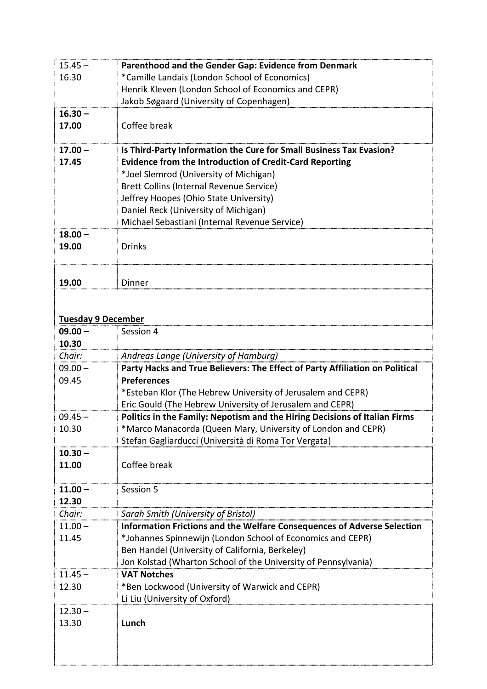| $15.45 -$                 | Parenthood and the Gender Gap: Evidence from Denmark                                 |
|---------------------------|--------------------------------------------------------------------------------------|
| 16.30                     | *Camille Landais (London School of Economics)                                        |
|                           | Henrik Kleven (London School of Economics and CEPR)                                  |
|                           | Jakob Søgaard (University of Copenhagen)                                             |
| $16.30 -$                 |                                                                                      |
| 17.00                     | Coffee break                                                                         |
|                           |                                                                                      |
| $17.00 -$                 | Is Third-Party Information the Cure for Small Business Tax Evasion?                  |
| 17.45                     | <b>Evidence from the Introduction of Credit-Card Reporting</b>                       |
|                           | *Joel Slemrod (University of Michigan)                                               |
|                           | Brett Collins (Internal Revenue Service)                                             |
|                           | Jeffrey Hoopes (Ohio State University)                                               |
|                           | Daniel Reck (University of Michigan)                                                 |
|                           | Michael Sebastiani (Internal Revenue Service)                                        |
| $18.00 -$                 |                                                                                      |
| 19.00                     | <b>Drinks</b>                                                                        |
|                           |                                                                                      |
|                           |                                                                                      |
| 19.00                     | Dinner                                                                               |
|                           |                                                                                      |
|                           |                                                                                      |
| <b>Tuesday 9 December</b> |                                                                                      |
| $09.00 -$                 | Session 4                                                                            |
| 10.30                     |                                                                                      |
| Chair:                    | Andreas Lange (University of Hamburg)                                                |
| $09.00 -$                 | Party Hacks and True Believers: The Effect of Party Affiliation on Political         |
| 09.45                     | <b>Preferences</b>                                                                   |
|                           | *Esteban Klor (The Hebrew University of Jerusalem and CEPR)                          |
|                           | Eric Gould (The Hebrew University of Jerusalem and CEPR)                             |
| $09.45 -$                 | Politics in the Family: Nepotism and the Hiring Decisions of Italian Firms           |
| 10.30                     | *Marco Manacorda (Queen Mary, University of London and CEPR)                         |
|                           | Stefan Gagliarducci (Università di Roma Tor Vergata)                                 |
| $10.30 -$                 |                                                                                      |
| 11.00                     | Coffee break                                                                         |
|                           |                                                                                      |
| $11.00 -$                 | Session 5                                                                            |
| 12.30                     |                                                                                      |
| Chair:                    | Sarah Smith (University of Bristol)                                                  |
| $11.00 -$                 | Information Frictions and the Welfare Consequences of Adverse Selection              |
| 11.45                     | *Johannes Spinnewijn (London School of Economics and CEPR)                           |
|                           | Ben Handel (University of California, Berkeley)                                      |
| $11.45 -$                 | Jon Kolstad (Wharton School of the University of Pennsylvania)<br><b>VAT Notches</b> |
| 12.30                     | *Ben Lockwood (University of Warwick and CEPR)                                       |
|                           | Li Liu (University of Oxford)                                                        |
| $12.30 -$                 |                                                                                      |
| 13.30                     | Lunch                                                                                |
|                           |                                                                                      |
|                           |                                                                                      |
|                           |                                                                                      |
|                           |                                                                                      |